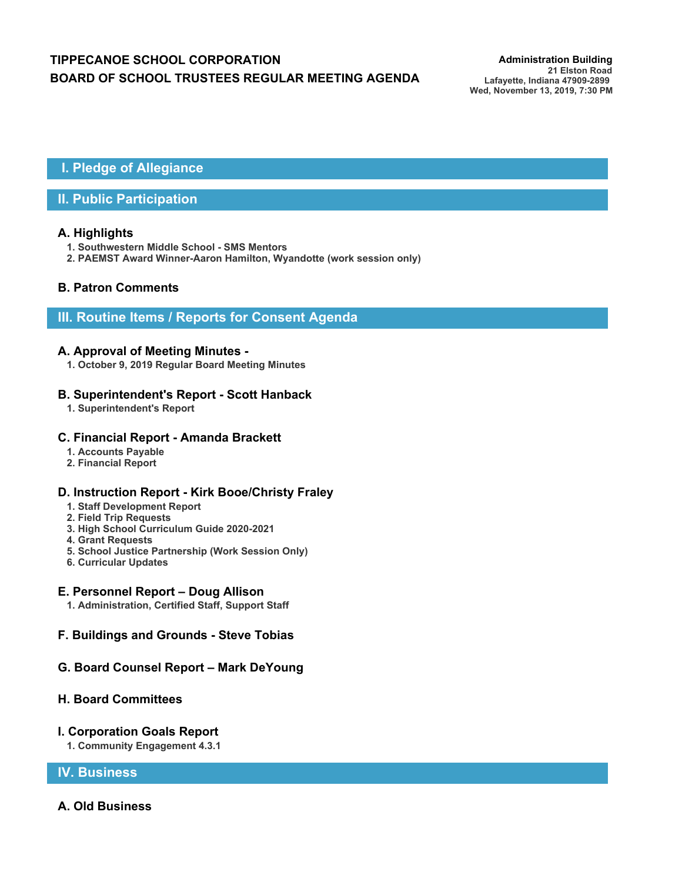# **TIPPECANOE SCHOOL CORPORATION** *Administration Building* **BOARD OF SCHOOL TRUSTEES REGULAR MEETING AGENDA**

## **I. Pledge of Allegiance**

### **II. Public Participation**

#### **A. Highlights**

- **1. Southwestern Middle School SMS Mentors**
- **2. PAEMST Award Winner-Aaron Hamilton, Wyandotte (work session only)**

### **B. Patron Comments**

### **III. Routine Items / Reports for Consent Agenda**

#### **A. Approval of Meeting Minutes -**

**1. October 9, 2019 Regular Board Meeting Minutes**

#### **B. Superintendent's Report - Scott Hanback**

**1. Superintendent's Report**

#### **C. Financial Report - Amanda Brackett**

- **1. Accounts Payable**
- **2. Financial Report**

### **D. Instruction Report - Kirk Booe/Christy Fraley**

- **1. Staff Development Report**
- **2. Field Trip Requests**
- **3. High School Curriculum Guide 2020-2021**
- **4. Grant Requests**
- **5. School Justice Partnership (Work Session Only)**
- **6. Curricular Updates**

#### **E. Personnel Report – Doug Allison**

**1. Administration, Certified Staff, Support Staff**

### **F. Buildings and Grounds - Steve Tobias**

### **G. Board Counsel Report – Mark DeYoung**

#### **H. Board Committees**

#### **I. Corporation Goals Report**

**1. Community Engagement 4.3.1**

### **IV. Business**

### **A. Old Business**